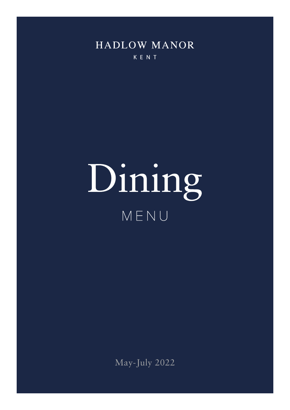

KENT

## Dining MENU

May-July 2022